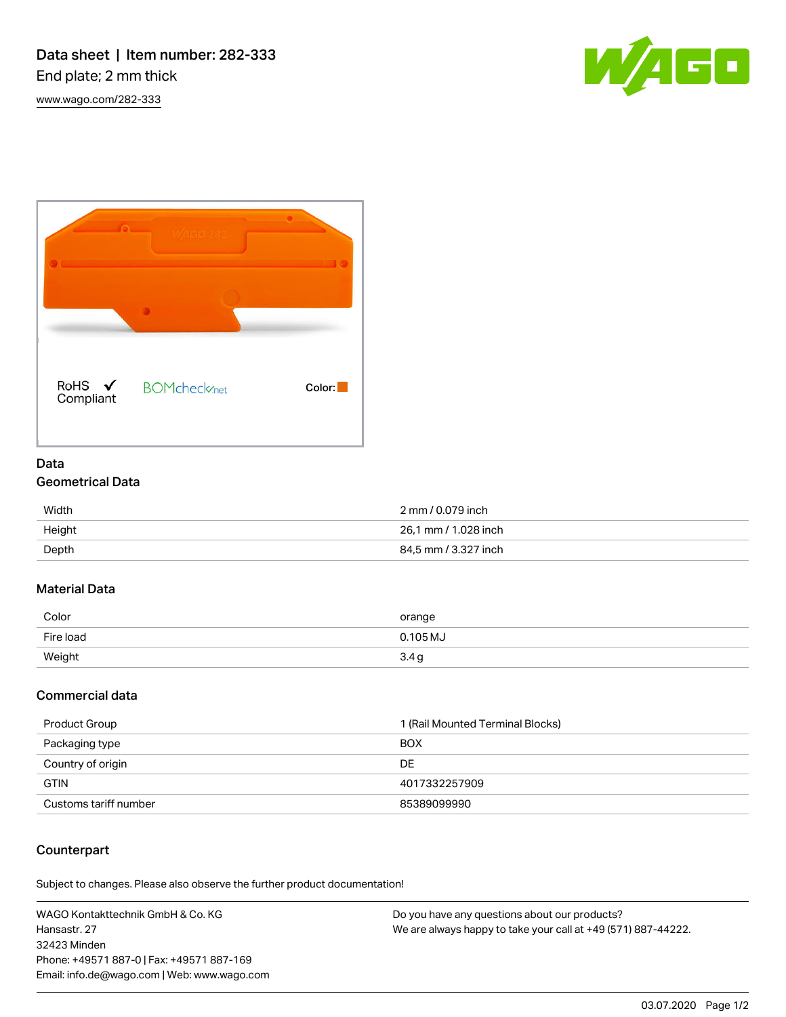[www.wago.com/282-333](http://www.wago.com/282-333)





# Data Geometrical Data

| Width  | 2 mm / 0.079 inch    |
|--------|----------------------|
| Height | 26.1 mm / 1.028 inch |
| Depth  | 84,5 mm / 3.327 inch |

#### Material Data

| Color     | orange   |
|-----------|----------|
| Fire load | 0.105 MJ |
| Weight    | 3.4 g    |

## Commercial data

| Product Group         | 1 (Rail Mounted Terminal Blocks) |
|-----------------------|----------------------------------|
| Packaging type        | <b>BOX</b>                       |
| Country of origin     | DE                               |
| <b>GTIN</b>           | 4017332257909                    |
| Customs tariff number | 85389099990                      |

## Counterpart

Subject to changes. Please also observe the further product documentation!

WAGO Kontakttechnik GmbH & Co. KG Hansastr. 27 32423 Minden Phone: +49571 887-0 | Fax: +49571 887-169 Email: info.de@wago.com | Web: www.wago.com

Do you have any questions about our products? We are always happy to take your call at +49 (571) 887-44222.